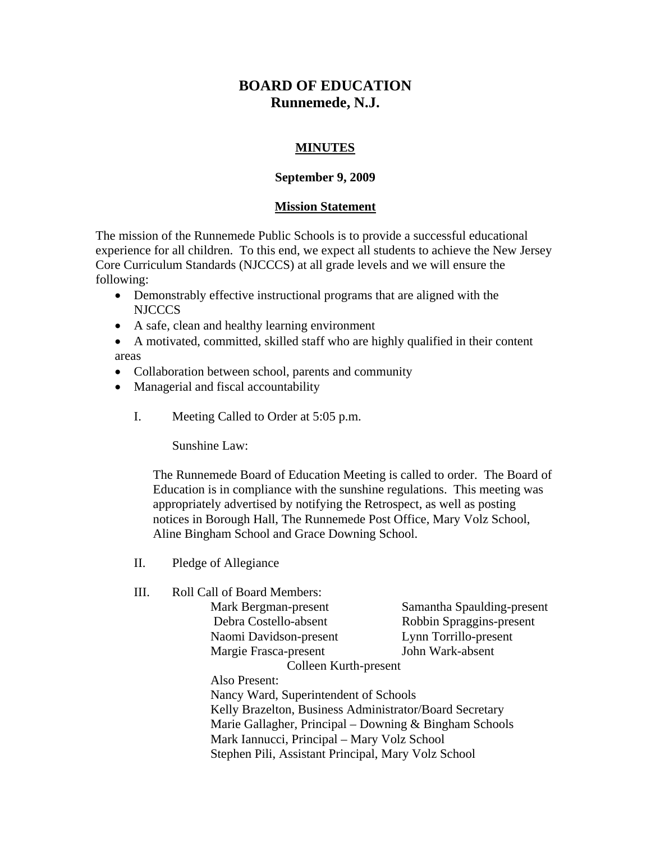## **BOARD OF EDUCATION Runnemede, N.J.**

## **MINUTES**

## **September 9, 2009**

## **Mission Statement**

The mission of the Runnemede Public Schools is to provide a successful educational experience for all children. To this end, we expect all students to achieve the New Jersey Core Curriculum Standards (NJCCCS) at all grade levels and we will ensure the following:

- Demonstrably effective instructional programs that are aligned with the NJCCCS
- A safe, clean and healthy learning environment

 A motivated, committed, skilled staff who are highly qualified in their content areas

- Collaboration between school, parents and community
- Managerial and fiscal accountability
	- I. Meeting Called to Order at 5:05 p.m.

Sunshine Law:

The Runnemede Board of Education Meeting is called to order. The Board of Education is in compliance with the sunshine regulations. This meeting was appropriately advertised by notifying the Retrospect, as well as posting notices in Borough Hall, The Runnemede Post Office, Mary Volz School, Aline Bingham School and Grace Downing School.

- II. Pledge of Allegiance
- III. Roll Call of Board Members:

 Naomi Davidson-present Lynn Torrillo-present Margie Frasca-present John Wark-absent

Mark Bergman-present Samantha Spaulding-present Debra Costello-absent Robbin Spraggins-present

 Colleen Kurth-present Also Present:

Nancy Ward, Superintendent of Schools Kelly Brazelton, Business Administrator/Board Secretary Marie Gallagher, Principal – Downing & Bingham Schools Mark Iannucci, Principal – Mary Volz School Stephen Pili, Assistant Principal, Mary Volz School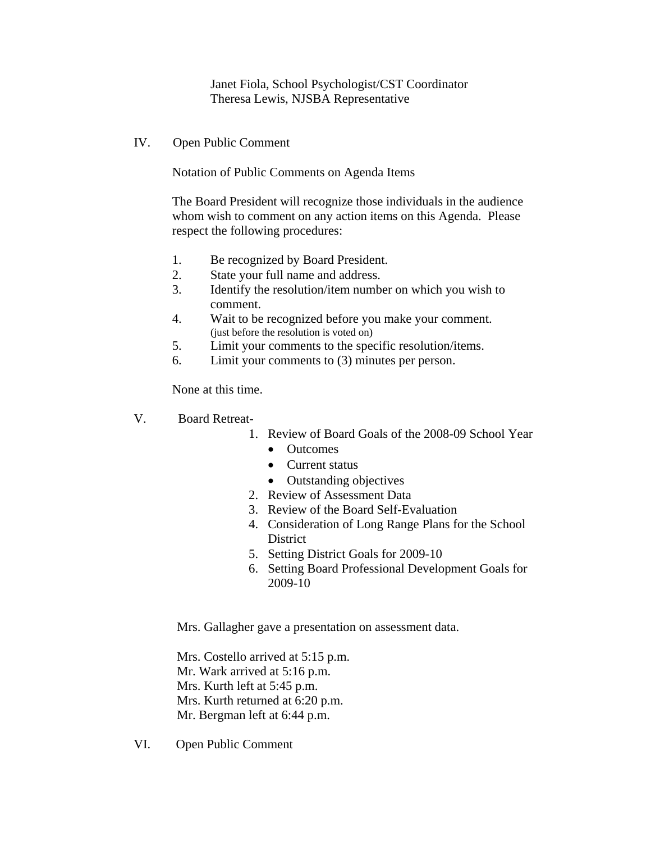Janet Fiola, School Psychologist/CST Coordinator Theresa Lewis, NJSBA Representative

IV. Open Public Comment

Notation of Public Comments on Agenda Items

The Board President will recognize those individuals in the audience whom wish to comment on any action items on this Agenda. Please respect the following procedures:

- 1. Be recognized by Board President.
- 2. State your full name and address.
- 3. Identify the resolution/item number on which you wish to comment.
- 4. Wait to be recognized before you make your comment. (just before the resolution is voted on)
- 5. Limit your comments to the specific resolution/items.
- 6. Limit your comments to (3) minutes per person.

None at this time.

- V. Board Retreat-
	- 1. Review of Board Goals of the 2008-09 School Year
		- Outcomes
		- Current status
		- Outstanding objectives
	- 2. Review of Assessment Data
	- 3. Review of the Board Self-Evaluation
	- 4. Consideration of Long Range Plans for the School **District**
	- 5. Setting District Goals for 2009-10
	- 6. Setting Board Professional Development Goals for 2009-10

Mrs. Gallagher gave a presentation on assessment data.

Mrs. Costello arrived at 5:15 p.m. Mr. Wark arrived at 5:16 p.m. Mrs. Kurth left at 5:45 p.m. Mrs. Kurth returned at 6:20 p.m. Mr. Bergman left at 6:44 p.m.

VI. Open Public Comment